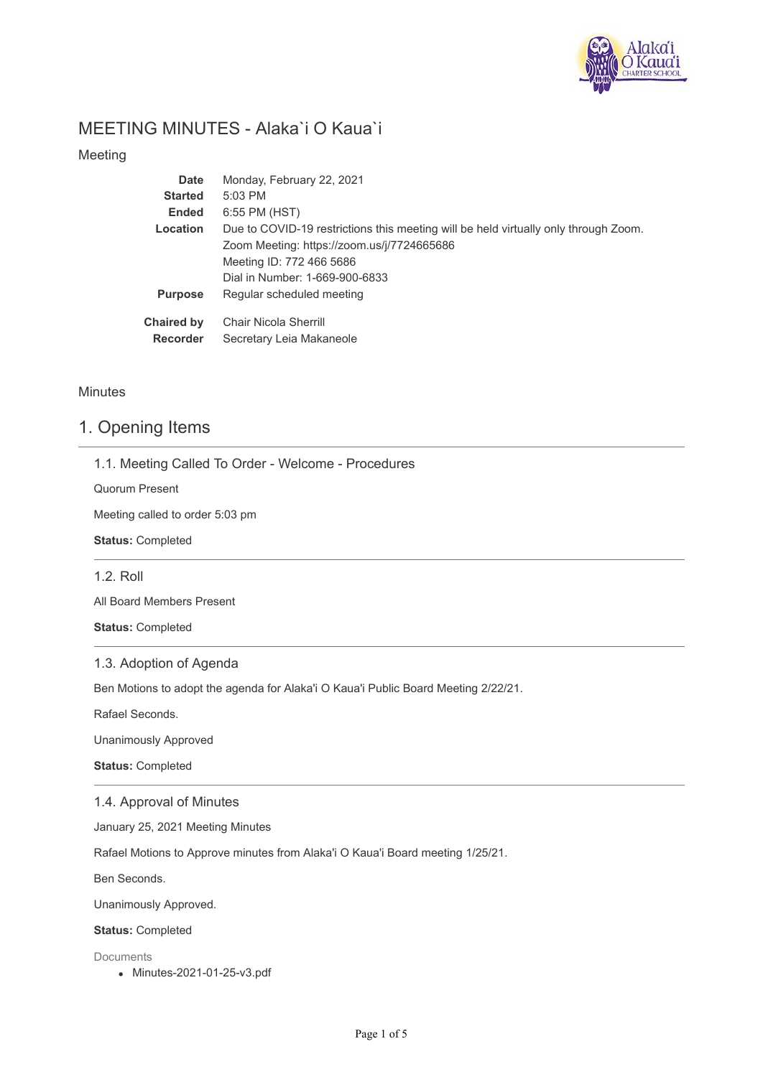

# MEETING MINUTES - Alaka`i O Kaua`i

Meeting

| <b>Date</b>       | Monday, February 22, 2021                                                           |
|-------------------|-------------------------------------------------------------------------------------|
| <b>Started</b>    | $5:03$ PM                                                                           |
| <b>Ended</b>      | 6:55 PM (HST)                                                                       |
| Location          | Due to COVID-19 restrictions this meeting will be held virtually only through Zoom. |
|                   | Zoom Meeting: https://zoom.us/j/7724665686                                          |
|                   | Meeting ID: 772 466 5686                                                            |
|                   | Dial in Number: 1-669-900-6833                                                      |
| <b>Purpose</b>    | Regular scheduled meeting                                                           |
| <b>Chaired by</b> | Chair Nicola Sherrill                                                               |
| <b>Recorder</b>   | Secretary Leia Makaneole                                                            |
|                   |                                                                                     |

### **Minutes**

### 1. Opening Items

1.1. Meeting Called To Order - Welcome - Procedures

Quorum Present

Meeting called to order 5:03 pm

**Status:** Completed

1.2. Roll

All Board Members Present

**Status:** Completed

### 1.3. Adoption of Agenda

Ben Motions to adopt the agenda for Alaka'i O Kaua'i Public Board Meeting 2/22/21.

Rafael Seconds.

Unanimously Approved

**Status:** Completed

#### 1.4. Approval of Minutes

January 25, 2021 Meeting Minutes

Rafael Motions to Approve minutes from Alaka'i O Kaua'i Board meeting 1/25/21.

Ben Seconds.

Unanimously Approved.

**Status:** Completed

Documents

Minutes-2021-01-25-v3.pdf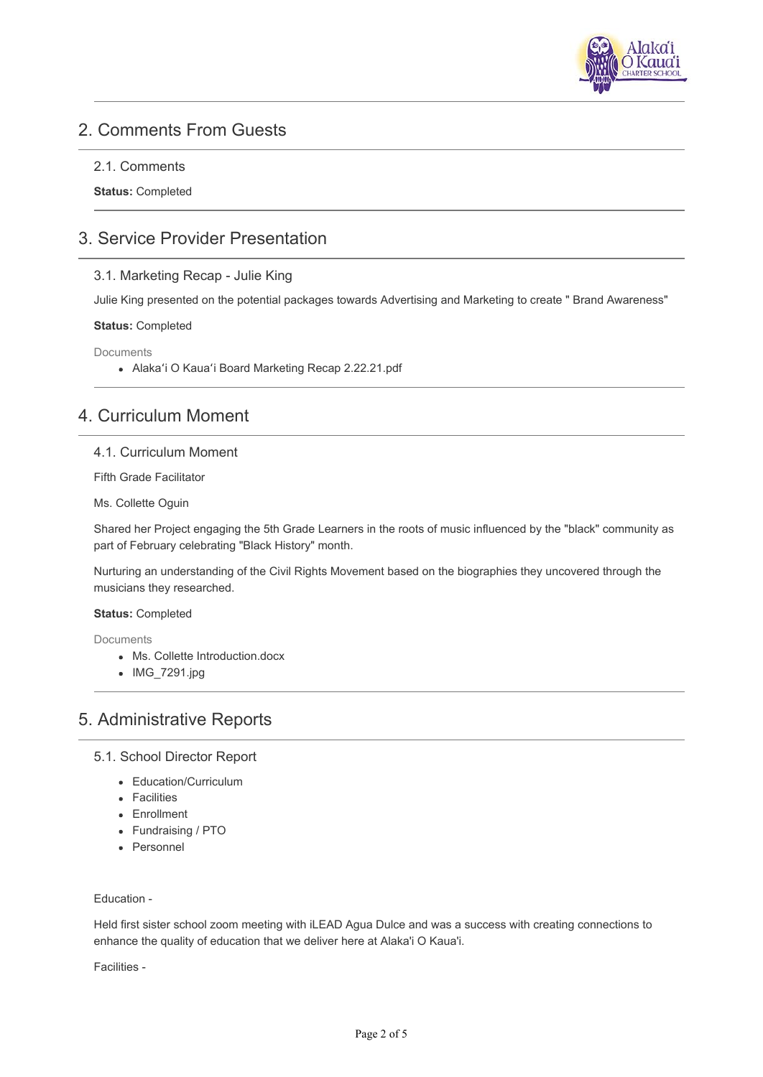

# 2. Comments From Guests

### 2.1. Comments

**Status:** Completed

# 3. Service Provider Presentation

### 3.1. Marketing Recap - Julie King

Julie King presented on the potential packages towards Advertising and Marketing to create " Brand Awareness"

#### **Status:** Completed

Documents

Alakaʻi O Kauaʻi Board Marketing Recap 2.22.21.pdf

# 4. Curriculum Moment

#### 4.1. Curriculum Moment

Fifth Grade Facilitator

Ms. Collette Oguin

Shared her Project engaging the 5th Grade Learners in the roots of music influenced by the "black" community as part of February celebrating "Black History" month.

Nurturing an understanding of the Civil Rights Movement based on the biographies they uncovered through the musicians they researched.

#### **Status:** Completed

Documents

- Ms. Collette Introduction.docx
- IMG\_7291.jpg

# 5. Administrative Reports

### 5.1. School Director Report

- Education/Curriculum
- Facilities
- Enrollment
- Fundraising / PTO
- Personnel

#### Education -

Held first sister school zoom meeting with iLEAD Agua Dulce and was a success with creating connections to enhance the quality of education that we deliver here at Alaka'i O Kaua'i.

Facilities -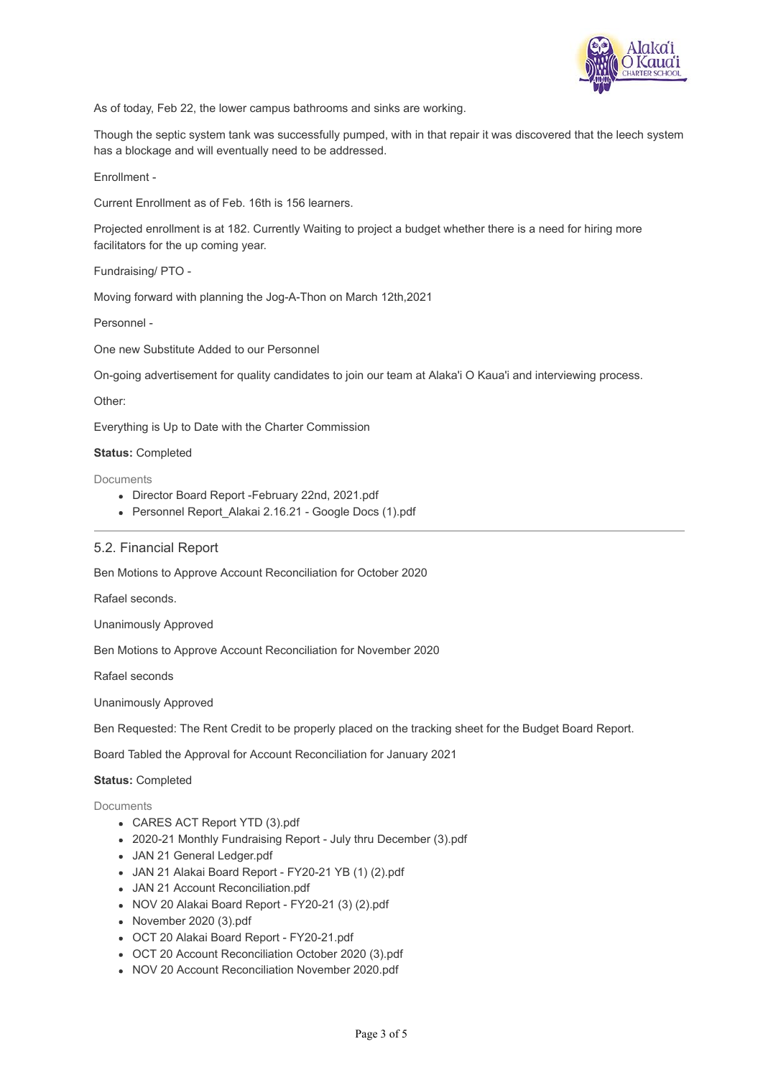

As of today, Feb 22, the lower campus bathrooms and sinks are working.

Though the septic system tank was successfully pumped, with in that repair it was discovered that the leech system has a blockage and will eventually need to be addressed.

Enrollment -

Current Enrollment as of Feb. 16th is 156 learners.

Projected enrollment is at 182. Currently Waiting to project a budget whether there is a need for hiring more facilitators for the up coming year.

Fundraising/ PTO -

Moving forward with planning the Jog-A-Thon on March 12th,2021

Personnel -

One new Substitute Added to our Personnel

On-going advertisement for quality candidates to join our team at Alaka'i O Kaua'i and interviewing process.

Other:

Everything is Up to Date with the Charter Commission

**Status:** Completed

**Documents** 

- Director Board Report -February 22nd, 2021.pdf
- Personnel Report Alakai 2.16.21 Google Docs (1).pdf

#### 5.2. Financial Report

Ben Motions to Approve Account Reconciliation for October 2020

Rafael seconds.

Unanimously Approved

Ben Motions to Approve Account Reconciliation for November 2020

Rafael seconds

Unanimously Approved

Ben Requested: The Rent Credit to be properly placed on the tracking sheet for the Budget Board Report.

Board Tabled the Approval for Account Reconciliation for January 2021

#### **Status:** Completed

Documents

- CARES ACT Report YTD (3).pdf
- 2020-21 Monthly Fundraising Report July thru December (3).pdf
- JAN 21 General Ledger.pdf
- JAN 21 Alakai Board Report FY20-21 YB (1) (2).pdf
- JAN 21 Account Reconciliation.pdf
- NOV 20 Alakai Board Report FY20-21 (3) (2).pdf
- November 2020 (3).pdf
- OCT 20 Alakai Board Report FY20-21.pdf
- OCT 20 Account Reconciliation October 2020 (3).pdf
- NOV 20 Account Reconciliation November 2020.pdf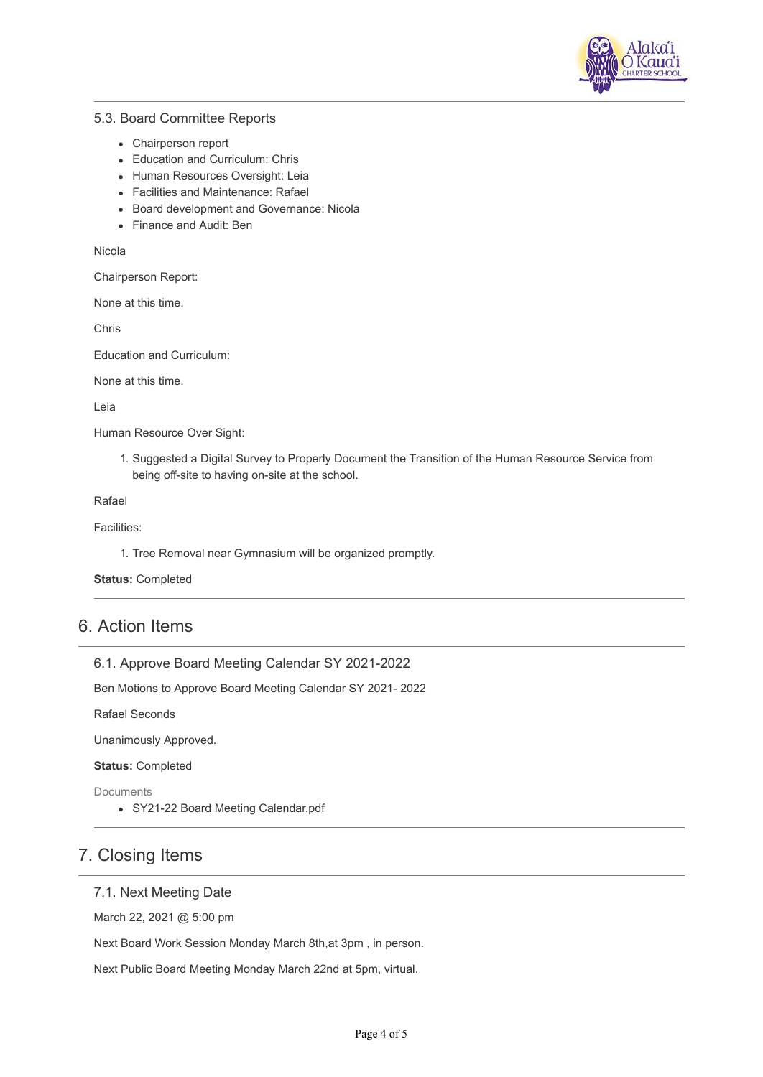

### 5.3. Board Committee Reports

- Chairperson report
- Education and Curriculum: Chris
- Human Resources Oversight: Leia
- Facilities and Maintenance: Rafael
- Board development and Governance: Nicola
- Finance and Audit: Ben

Nicola

Chairperson Report:

None at this time.

Chris

Education and Curriculum:

None at this time.

Leia

Human Resource Over Sight:

1. Suggested a Digital Survey to Properly Document the Transition of the Human Resource Service from being off-site to having on-site at the school.

Rafael

Facilities:

1. Tree Removal near Gymnasium will be organized promptly.

**Status:** Completed

## 6. Action Items

6.1. Approve Board Meeting Calendar SY 2021-2022

Ben Motions to Approve Board Meeting Calendar SY 2021- 2022

Rafael Seconds

Unanimously Approved.

**Status:** Completed

Documents

SY21-22 Board Meeting Calendar.pdf

## 7. Closing Items

### 7.1. Next Meeting Date

March 22, 2021 @ 5:00 pm

Next Board Work Session Monday March 8th,at 3pm , in person.

Next Public Board Meeting Monday March 22nd at 5pm, virtual.